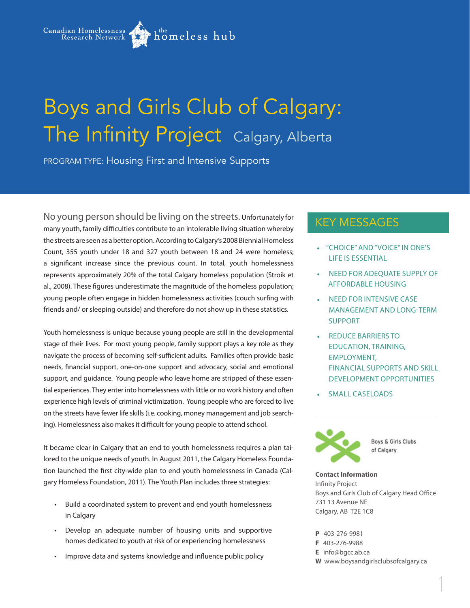Canadian Homelessness

# Boys and Girls Club of Calgary: The Infinity Project Calgary, Alberta

homeless hub<sup>,</sup>

PROGRAM TYPE: Housing First and Intensive Supports

No young person should be living on the streets. Unfortunately for many youth, family difficulties contribute to an intolerable living situation whereby the streets are seen as a better option. According to Calgary's 2008 Biennial Homeless Count, 355 youth under 18 and 327 youth between 18 and 24 were homeless; a significant increase since the previous count. In total, youth homelessness represents approximately 20% of the total Calgary homeless population (Stroik et al., 2008). These figures underestimate the magnitude of the homeless population; young people often engage in hidden homelessness activities (couch surfing with friends and/ or sleeping outside) and therefore do not show up in these statistics.

Youth homelessness is unique because young people are still in the developmental stage of their lives. For most young people, family support plays a key role as they navigate the process of becoming self-sufficient adults. Families often provide basic needs, financial support, one-on-one support and advocacy, social and emotional support, and guidance. Young people who leave home are stripped of these essential experiences. They enter into homelessness with little or no work history and often experience high levels of criminal victimization. Young people who are forced to live on the streets have fewer life skills (i.e. cooking, money management and job searching). Homelessness also makes it difficult for young people to attend school.

It became clear in Calgary that an end to youth homelessness requires a plan tailored to the unique needs of youth. In August 2011, the Calgary Homeless Foundation launched the first city-wide plan to end youth homelessness in Canada (Calgary Homeless Foundation, 2011). The Youth Plan includes three strategies:

- • Build a coordinated system to prevent and end youth homelessness in Calgary
- • Develop an adequate number of housing units and supportive homes dedicated to youth at risk of or experiencing homelessness
- Improve data and systems knowledge and influence public policy

## KEY MESSAGES

- "CHOICE" AND "VOICE" IN ONE'S LIFE IS ESSENTIAL
- **NEED FOR ADEQUATE SUPPLY OF** AFFORDABLE HOUSING
- **NEED FOR INTENSIVE CASE** MANAGEMENT AND LONG-TERM SUPPORT
- **REDUCE BARRIERS TO** EDUCATION, TRAINING, EMPLOYMENT, FINANCIAL SUPPORTS AND SKILL DEVELOPMENT OPPORTUNITIES
- **SMALL CASELOADS**



**Boys & Girls Clubs** of Calgary

**Contact Information** Infinity Project Boys and Girls Club of Calgary Head Office 731 13 Avenue NE Calgary, AB T2E 1C8

**P** 403-276-9981

- **F** 403-276-9988
- **E** info@bgcc.ab.ca
- **W** www.boysandgirlsclubsofcalgary.ca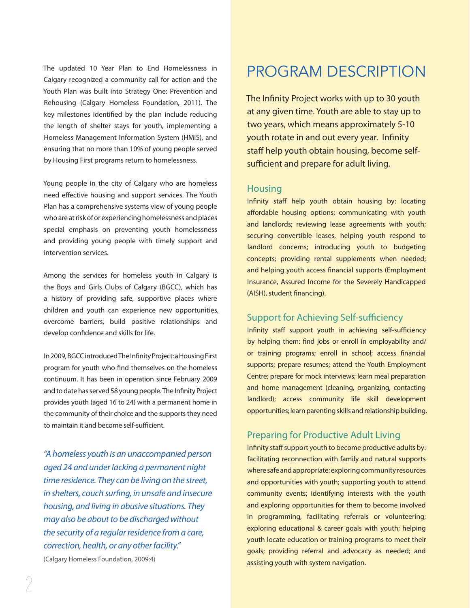The updated 10 Year Plan to End Homelessness in Calgary recognized a community call for action and the Youth Plan was built into Strategy One: Prevention and Rehousing (Calgary Homeless Foundation, 2011). The key milestones identified by the plan include reducing the length of shelter stays for youth, implementing a Homeless Management Information System (HMIS), and ensuring that no more than 10% of young people served by Housing First programs return to homelessness.

Young people in the city of Calgary who are homeless need effective housing and support services. The Youth Plan has a comprehensive systems view of young people who are at risk of or experiencing homelessness and places special emphasis on preventing youth homelessness and providing young people with timely support and intervention services.

Among the services for homeless youth in Calgary is the Boys and Girls Clubs of Calgary (BGCC), which has a history of providing safe, supportive places where children and youth can experience new opportunities, overcome barriers, build positive relationships and develop confidence and skills for life.

In 2009, BGCC introduced The Infinity Project: a Housing First program for youth who find themselves on the homeless continuum. It has been in operation since February 2009 and to date has served 58 young people. The Infinity Project provides youth (aged 16 to 24) with a permanent home in the community of their choice and the supports they need to maintain it and become self-sufficient.

*"A homeless youth is an unaccompanied person aged 24 and under lacking a permanent night time residence. They can be living on the street, in shelters, couch surfing, in unsafe and insecure housing, and living in abusive situations. They may also be about to be discharged without the security of a regular residence from a care, correction, health, or any other facility."*  (Calgary Homeless Foundation, 2009:4)

# PROGRAM DESCRIPTION

The Infinity Project works with up to 30 youth at any given time. Youth are able to stay up to two years, which means approximately 5-10 youth rotate in and out every year. Infinity staff help youth obtain housing, become selfsufficient and prepare for adult living.

#### **Housing**

Infinity staff help youth obtain housing by: locating affordable housing options; communicating with youth and landlords; reviewing lease agreements with youth; securing convertible leases, helping youth respond to landlord concerns; introducing youth to budgeting concepts; providing rental supplements when needed; and helping youth access financial supports (Employment Insurance, Assured Income for the Severely Handicapped (AISH), student financing).

### Support for Achieving Self-sufficiency

Infinity staff support youth in achieving self-sufficiency by helping them: find jobs or enroll in employability and/ or training programs; enroll in school; access financial supports; prepare resumes; attend the Youth Employment Centre; prepare for mock interviews; learn meal preparation and home management (cleaning, organizing, contacting landlord); access community life skill development opportunities; learn parenting skills and relationship building.

### Preparing for Productive Adult Living

Infinity staff support youth to become productive adults by: facilitating reconnection with family and natural supports where safe and appropriate; exploring community resources and opportunities with youth; supporting youth to attend community events; identifying interests with the youth and exploring opportunities for them to become involved in programming, facilitating referrals or volunteering; exploring educational & career goals with youth; helping youth locate education or training programs to meet their goals; providing referral and advocacy as needed; and assisting youth with system navigation.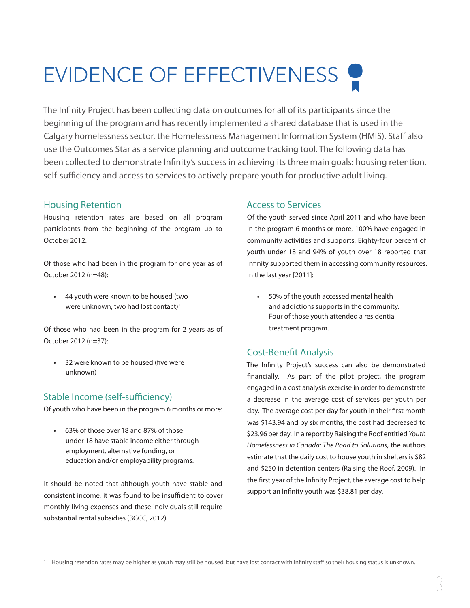# EVIDENCE OF EFFECTIVENESS

The Infinity Project has been collecting data on outcomes for all of its participants since the beginning of the program and has recently implemented a shared database that is used in the Calgary homelessness sector, the Homelessness Management Information System (HMIS). Staff also use the Outcomes Star as a service planning and outcome tracking tool. The following data has been collected to demonstrate Infinity's success in achieving its three main goals: housing retention, self-sufficiency and access to services to actively prepare youth for productive adult living.

### Housing Retention

Housing retention rates are based on all program participants from the beginning of the program up to October 2012.

Of those who had been in the program for one year as of October 2012 (n=48):

• 44 youth were known to be housed (two were unknown, two had lost contact)<sup>1</sup>

Of those who had been in the program for 2 years as of October 2012 (n=37):

• 32 were known to be housed (five were unknown)

### Stable Income (self-sufficiency)

Of youth who have been in the program 6 months or more:

• 63% of those over 18 and 87% of those under 18 have stable income either through employment, alternative funding, or education and/or employability programs.

It should be noted that although youth have stable and consistent income, it was found to be insufficient to cover monthly living expenses and these individuals still require substantial rental subsidies (BGCC, 2012).

### Access to Services

Of the youth served since April 2011 and who have been in the program 6 months or more, 100% have engaged in community activities and supports. Eighty-four percent of youth under 18 and 94% of youth over 18 reported that Infinity supported them in accessing community resources. In the last year [2011]:

• 50% of the youth accessed mental health and addictions supports in the community. Four of those youth attended a residential treatment program.

### Cost-Benefit Analysis

The Infinity Project's success can also be demonstrated financially. As part of the pilot project, the program engaged in a cost analysis exercise in order to demonstrate a decrease in the average cost of services per youth per day. The average cost per day for youth in their first month was \$143.94 and by six months, the cost had decreased to \$23.96 per day. In a report by Raising the Roof entitled *Youth Homelessness in Canada: The Road to Solutions*, the authors estimate that the daily cost to house youth in shelters is \$82 and \$250 in detention centers (Raising the Roof, 2009). In the first year of the Infinity Project, the average cost to help support an Infinity youth was \$38.81 per day.

<sup>1.</sup> Housing retention rates may be higher as youth may still be housed, but have lost contact with Infinity staff so their housing status is unknown.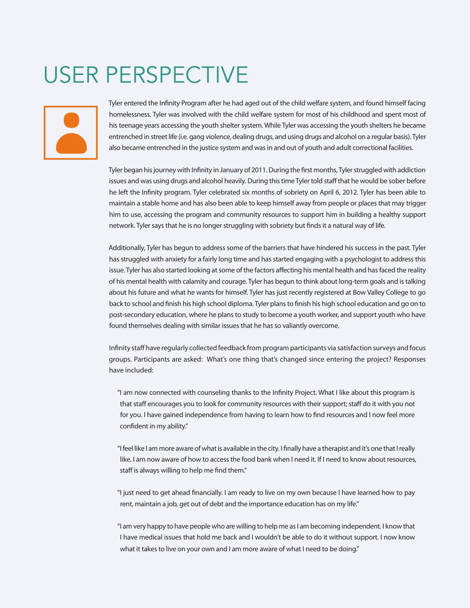# USER PERSPECTIVE



Tyler entered the Infinity Program after he had aged out of the child welfare system, and found himself facing homelessness. Tyler was involved with the child welfare system for most of his childhood and spent most of his teenage years accessing the youth shelter system. While Tyler was accessing the youth shelters he became entrenched in street life (i.e. gang violence, dealing drugs, and using drugs and alcohol on a regular basis). Tyler also became entrenched in the justice system and was in and out of youth and adult correctional facilities.

Tyler began his journey with Infinity in January of 2011. During the first months, Tyler struggled with addiction issues and was using drugs and alcohol heavily. During this time Tyler told staff that he would be sober before he left the Infinity program. Tyler celebrated six months of sobriety on April 6, 2012. Tyler has been able to maintain a stable home and has also been able to keep himself away from people or places that may trigger him to use, accessing the program and community resources to support him in building a healthy support network. Tyler says that he is no longer struggling with sobriety but finds it a natural way of life.

Additionally, Tyler has begun to address some of the barriers that have hindered his success in the past. Tyler has struggled with anxiety for a fairly long time and has started engaging with a psychologist to address this issue. Tyler has also started looking at some of the factors affecting his mental health and has faced the reality of his mental health with calamity and courage. Tyler has begun to think about long-term goals and is talking about his future and what he wants for himself. Tyler has just recently registered at Bow Valley College to go back to school and finish his high school diploma. Tyler plans to finish his high school education and go on to post-secondary education, where he plans to study to become a youth worker, and support youth who have found themselves dealing with similar issues that he has so valiantly overcome.

Infinity staff have regularly collected feedback from program participants via satisfaction surveys and focus groups. Participants are asked: What's one thing that's changed since entering the project? Responses have included:

"I am now connected with counseling thanks to the Infinity Project. What I like about this program is that staff encourages you to look for community resources with their support; staff do it with you not for you. I have gained independence from having to learn how to find resources and I now feel more confident in my ability."

"I feel like I am more aware of what is available in the city. I finally have a therapist and it's one that I really like. I am now aware of how to access the food bank when I need it. If I need to know about resources, staff is always willing to help me find them."

"I just need to get ahead financially. I am ready to live on my own because I have learned how to pay rent, maintain a job, get out of debt and the importance education has on my life."

"I am very happy to have people who are willing to help me as I am becoming independent. I know that I have medical issues that hold me back and I wouldn't be able to do it without support. I now know what it takes to live on your own and I am more aware of what I need to be doing."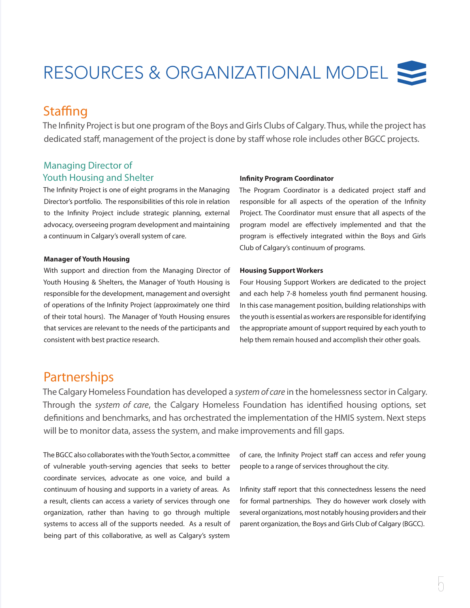# RESOURCES & ORGANIZATIONAL MODEL

## **Staffing**

The Infinity Project is but one program of the Boys and Girls Clubs of Calgary. Thus, while the project has dedicated staff, management of the project is done by staff whose role includes other BGCC projects.

## Managing Director of Youth Housing and Shelter

The Infinity Project is one of eight programs in the Managing Director's portfolio. The responsibilities of this role in relation to the Infinity Project include strategic planning, external advocacy, overseeing program development and maintaining a continuum in Calgary's overall system of care.

#### **Manager of Youth Housing**

With support and direction from the Managing Director of Youth Housing & Shelters, the Manager of Youth Housing is responsible for the development, management and oversight of operations of the Infinity Project (approximately one third of their total hours). The Manager of Youth Housing ensures that services are relevant to the needs of the participants and consistent with best practice research.

#### **Infinity Program Coordinator**

The Program Coordinator is a dedicated project staff and responsible for all aspects of the operation of the Infinity Project. The Coordinator must ensure that all aspects of the program model are effectively implemented and that the program is effectively integrated within the Boys and Girls Club of Calgary's continuum of programs.

#### **Housing Support Workers**

Four Housing Support Workers are dedicated to the project and each help 7-8 homeless youth find permanent housing. In this case management position, building relationships with the youth is essential as workers are responsible for identifying the appropriate amount of support required by each youth to help them remain housed and accomplish their other goals.

## **Partnerships**

The Calgary Homeless Foundation has developed a *system of care* in the homelessness sector in Calgary. Through the *system of care*, the Calgary Homeless Foundation has identified housing options, set definitions and benchmarks, and has orchestrated the implementation of the HMIS system. Next steps will be to monitor data, assess the system, and make improvements and fill gaps.

The BGCC also collaborates with the Youth Sector, a committee of vulnerable youth-serving agencies that seeks to better coordinate services, advocate as one voice, and build a continuum of housing and supports in a variety of areas. As a result, clients can access a variety of services through one organization, rather than having to go through multiple systems to access all of the supports needed. As a result of being part of this collaborative, as well as Calgary's system

of care, the Infinity Project staff can access and refer young people to a range of services throughout the city.

Infinity staff report that this connectedness lessens the need for formal partnerships. They do however work closely with several organizations, most notably housing providers and their parent organization, the Boys and Girls Club of Calgary (BGCC).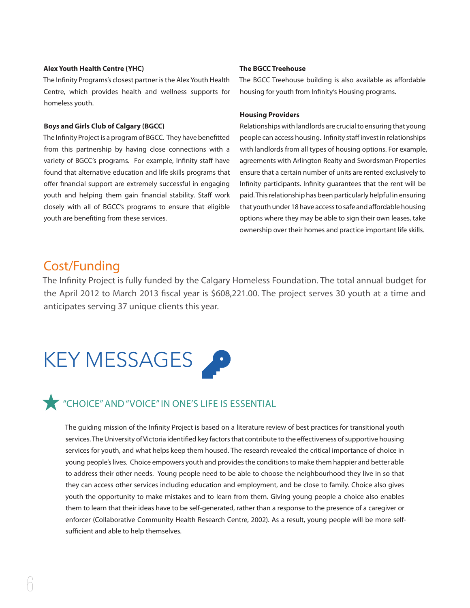#### **Alex Youth Health Centre (YHC)**

The Infinity Programs's closest partner is the Alex Youth Health Centre, which provides health and wellness supports for homeless youth.

#### **Boys and Girls Club of Calgary (BGCC)**

The Infinity Project is a program of BGCC. They have benefitted from this partnership by having close connections with a variety of BGCC's programs. For example, Infinity staff have found that alternative education and life skills programs that offer financial support are extremely successful in engaging youth and helping them gain financial stability. Staff work closely with all of BGCC's programs to ensure that eligible youth are benefiting from these services.

#### **The BGCC Treehouse**

The BGCC Treehouse building is also available as affordable housing for youth from Infinity's Housing programs.

#### **Housing Providers**

Relationships with landlords are crucial to ensuring that young people can access housing. Infinity staff invest in relationships with landlords from all types of housing options. For example, agreements with Arlington Realty and Swordsman Properties ensure that a certain number of units are rented exclusively to Infinity participants. Infinity guarantees that the rent will be paid. This relationship has been particularly helpful in ensuring that youth under 18 have access to safe and affordable housing options where they may be able to sign their own leases, take ownership over their homes and practice important life skills.

## Cost/Funding

The Infinity Project is fully funded by the Calgary Homeless Foundation. The total annual budget for the April 2012 to March 2013 fiscal year is \$608,221.00. The project serves 30 youth at a time and anticipates serving 37 unique clients this year.

# KEY MESSAGES



# "CHOICE"AND"VOICE"IN ONE'S LIFE IS ESSENTIAL

The guiding mission of the Infinity Project is based on a literature review of best practices for transitional youth services. The University of Victoria identified key factors that contribute to the effectiveness of supportive housing services for youth, and what helps keep them housed. The research revealed the critical importance of choice in young people's lives. Choice empowers youth and provides the conditions to make them happier and better able to address their other needs. Young people need to be able to choose the neighbourhood they live in so that they can access other services including education and employment, and be close to family. Choice also gives youth the opportunity to make mistakes and to learn from them. Giving young people a choice also enables them to learn that their ideas have to be self-generated, rather than a response to the presence of a caregiver or enforcer (Collaborative Community Health Research Centre, 2002). As a result, young people will be more selfsufficient and able to help themselves.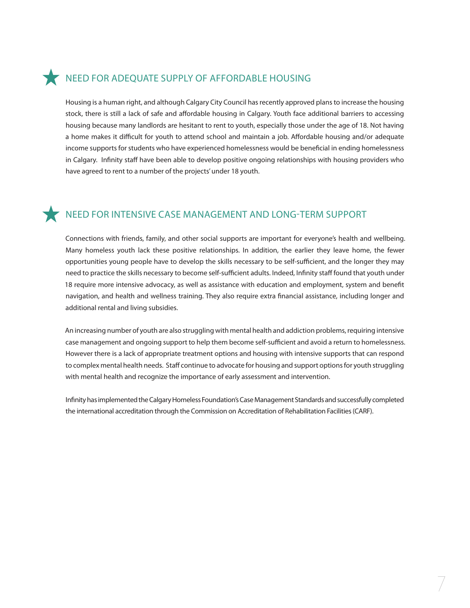## NEED FOR ADEQUATE SUPPLY OF AFFORDABLE HOUSING

Housing is a human right, and although Calgary City Council has recently approved plans to increase the housing stock, there is still a lack of safe and affordable housing in Calgary. Youth face additional barriers to accessing housing because many landlords are hesitant to rent to youth, especially those under the age of 18. Not having a home makes it difficult for youth to attend school and maintain a job. Affordable housing and/or adequate income supports for students who have experienced homelessness would be beneficial in ending homelessness in Calgary. Infinity staff have been able to develop positive ongoing relationships with housing providers who have agreed to rent to a number of the projects' under 18 youth.

## NEED FOR INTENSIVE CASE MANAGEMENT AND LONG-TERM SUPPORT

Connections with friends, family, and other social supports are important for everyone's health and wellbeing. Many homeless youth lack these positive relationships. In addition, the earlier they leave home, the fewer opportunities young people have to develop the skills necessary to be self-sufficient, and the longer they may need to practice the skills necessary to become self-sufficient adults. Indeed, Infinity staff found that youth under 18 require more intensive advocacy, as well as assistance with education and employment, system and benefit navigation, and health and wellness training. They also require extra financial assistance, including longer and additional rental and living subsidies.

An increasing number of youth are also struggling with mental health and addiction problems, requiring intensive case management and ongoing support to help them become self-sufficient and avoid a return to homelessness. However there is a lack of appropriate treatment options and housing with intensive supports that can respond to complex mental health needs. Staff continue to advocate for housing and support options for youth struggling with mental health and recognize the importance of early assessment and intervention.

Infinity has implemented the Calgary Homeless Foundation's Case Management Standards and successfully completed the international accreditation through the Commission on Accreditation of Rehabilitation Facilities(CARF).

7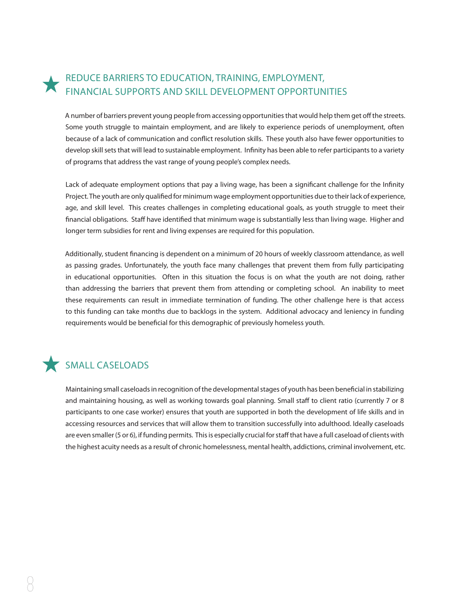## REDUCE BARRIERS TO EDUCATION, TRAINING, EMPLOYMENT, FINANCIAL SUPPORTS AND SKILL DEVELOPMENT OPPORTUNITIES

A number of barriers prevent young people from accessing opportunities that would help them get off the streets. Some youth struggle to maintain employment, and are likely to experience periods of unemployment, often because of a lack of communication and conflict resolution skills. These youth also have fewer opportunities to develop skill sets that will lead to sustainable employment. Infinity has been able to refer participants to a variety of programs that address the vast range of young people's complex needs.

Lack of adequate employment options that pay a living wage, has been a significant challenge for the Infinity Project. The youth are only qualified for minimum wage employment opportunities due to their lack of experience, age, and skill level. This creates challenges in completing educational goals, as youth struggle to meet their financial obligations. Staff have identified that minimum wage is substantially less than living wage. Higher and longer term subsidies for rent and living expenses are required for this population.

Additionally, student financing is dependent on a minimum of 20 hours of weekly classroom attendance, as well as passing grades. Unfortunately, the youth face many challenges that prevent them from fully participating in educational opportunities. Often in this situation the focus is on what the youth are not doing, rather than addressing the barriers that prevent them from attending or completing school. An inability to meet these requirements can result in immediate termination of funding. The other challenge here is that access to this funding can take months due to backlogs in the system. Additional advocacy and leniency in funding requirements would be beneficial for this demographic of previously homeless youth.

## SMALL CASELOADS

Maintaining small caseloads in recognition of the developmental stages of youth has been beneficial in stabilizing and maintaining housing, as well as working towards goal planning. Small staff to client ratio (currently 7 or 8 participants to one case worker) ensures that youth are supported in both the development of life skills and in accessing resources and services that will allow them to transition successfully into adulthood. Ideally caseloads are even smaller (5 or 6), if funding permits. This is especially crucial for staff that have a full caseload of clients with the highest acuity needs as a result of chronic homelessness, mental health, addictions, criminal involvement, etc.